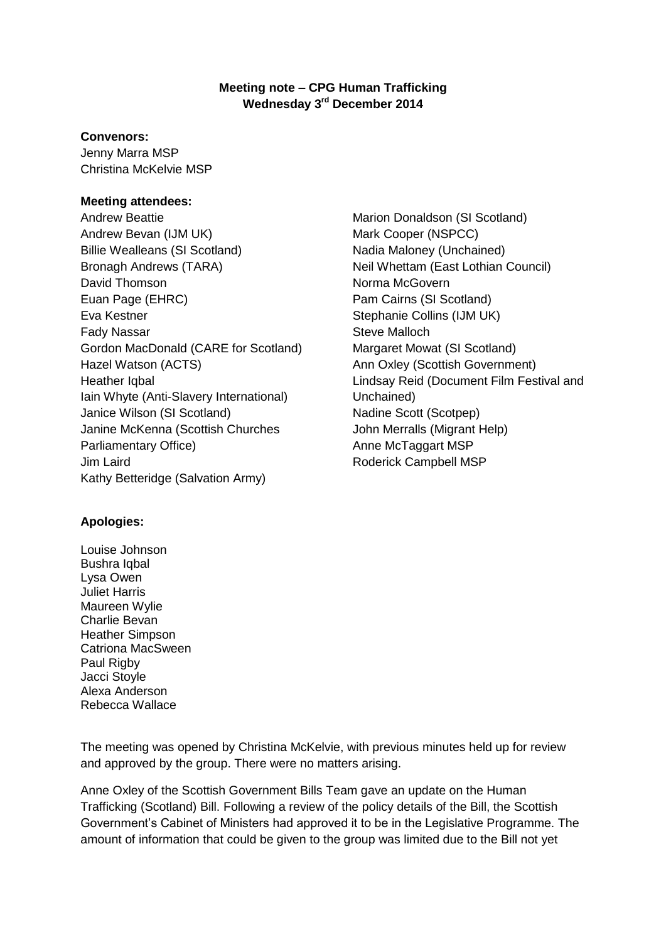# **Meeting note – CPG Human Trafficking Wednesday 3rd December 2014**

#### **Convenors:**

Jenny Marra MSP Christina McKelvie MSP

## **Meeting attendees:**

Andrew Beattie Andrew Bevan (IJM UK) Billie Wealleans (SI Scotland) Bronagh Andrews (TARA) David Thomson Euan Page (EHRC) Eva Kestner Fady Nassar Gordon MacDonald (CARE for Scotland) Hazel Watson (ACTS) Heather Iqbal Iain Whyte (Anti-Slavery International) Janice Wilson (SI Scotland) Janine McKenna (Scottish Churches Parliamentary Office) Jim Laird Kathy Betteridge (Salvation Army)

Marion Donaldson (SI Scotland) Mark Cooper (NSPCC) Nadia Maloney (Unchained) Neil Whettam (East Lothian Council) Norma McGovern Pam Cairns (SI Scotland) Stephanie Collins (IJM UK) Steve Malloch Margaret Mowat (SI Scotland) Ann Oxley (Scottish Government) Lindsay Reid (Document Film Festival and Unchained) Nadine Scott (Scotpep) John Merralls (Migrant Help) Anne McTaggart MSP Roderick Campbell MSP

# **Apologies:**

Louise Johnson Bushra Iqbal Lysa Owen Juliet Harris Maureen Wylie Charlie Bevan Heather Simpson Catriona MacSween Paul Rigby Jacci Stoyle Alexa Anderson Rebecca Wallace

The meeting was opened by Christina McKelvie, with previous minutes held up for review and approved by the group. There were no matters arising.

Anne Oxley of the Scottish Government Bills Team gave an update on the Human Trafficking (Scotland) Bill. Following a review of the policy details of the Bill, the Scottish Government's Cabinet of Ministers had approved it to be in the Legislative Programme. The amount of information that could be given to the group was limited due to the Bill not yet